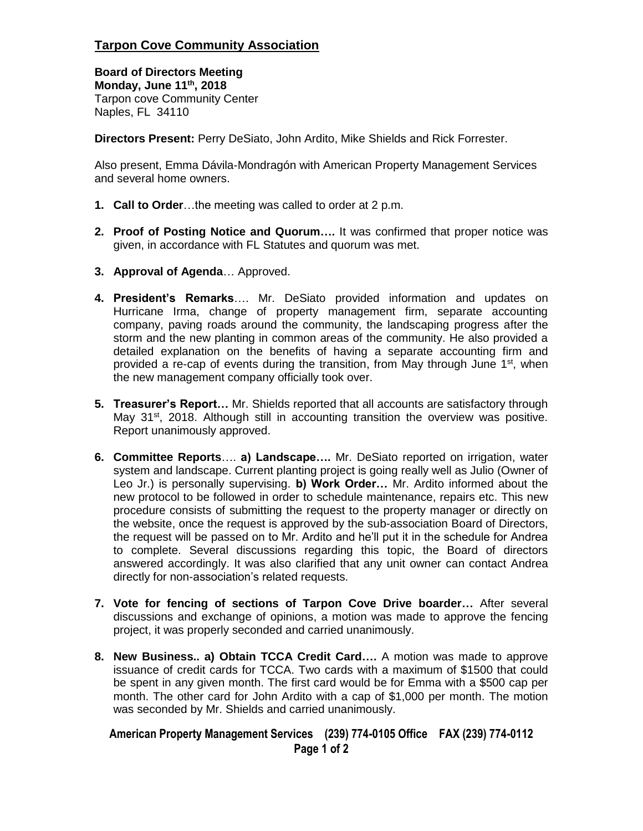## **Tarpon Cove Community Association**

**Board of Directors Meeting Monday, June 11th, 2018** Tarpon cove Community Center Naples, FL 34110

**Directors Present:** Perry DeSiato, John Ardito, Mike Shields and Rick Forrester.

Also present, Emma Dávila-Mondragón with American Property Management Services and several home owners.

- **1. Call to Order**…the meeting was called to order at 2 p.m.
- **2. Proof of Posting Notice and Quorum….** It was confirmed that proper notice was given, in accordance with FL Statutes and quorum was met.
- **3. Approval of Agenda**… Approved.
- **4. President's Remarks**…. Mr. DeSiato provided information and updates on Hurricane Irma, change of property management firm, separate accounting company, paving roads around the community, the landscaping progress after the storm and the new planting in common areas of the community. He also provided a detailed explanation on the benefits of having a separate accounting firm and provided a re-cap of events during the transition, from May through June 1<sup>st</sup>, when the new management company officially took over.
- **5. Treasurer's Report…** Mr. Shields reported that all accounts are satisfactory through May  $31^{st}$ , 2018. Although still in accounting transition the overview was positive. Report unanimously approved.
- **6. Committee Reports**…. **a) Landscape….** Mr. DeSiato reported on irrigation, water system and landscape. Current planting project is going really well as Julio (Owner of Leo Jr.) is personally supervising. **b) Work Order…** Mr. Ardito informed about the new protocol to be followed in order to schedule maintenance, repairs etc. This new procedure consists of submitting the request to the property manager or directly on the website, once the request is approved by the sub-association Board of Directors, the request will be passed on to Mr. Ardito and he'll put it in the schedule for Andrea to complete. Several discussions regarding this topic, the Board of directors answered accordingly. It was also clarified that any unit owner can contact Andrea directly for non-association's related requests.
- **7. Vote for fencing of sections of Tarpon Cove Drive boarder…** After several discussions and exchange of opinions, a motion was made to approve the fencing project, it was properly seconded and carried unanimously.
- **8. New Business.. a) Obtain TCCA Credit Card….** A motion was made to approve issuance of credit cards for TCCA. Two cards with a maximum of \$1500 that could be spent in any given month. The first card would be for Emma with a \$500 cap per month. The other card for John Ardito with a cap of \$1,000 per month. The motion was seconded by Mr. Shields and carried unanimously.

## **American Property Management Services (239) 774-0105 Office FAX (239) 774-0112 Page 1 of 2**